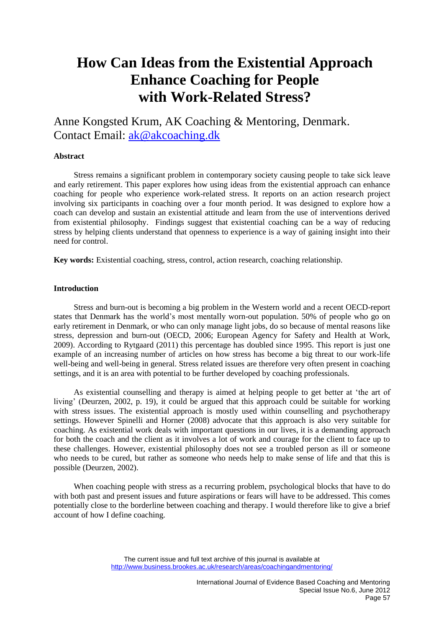# **How Can Ideas from the Existential Approach Enhance Coaching for People with Work-Related Stress?**

Anne Kongsted Krum, AK Coaching & Mentoring, Denmark. Contact Email: [ak@akcoaching.dk](mailto:ak@akcoaching.dk)

# **Abstract**

Stress remains a significant problem in contemporary society causing people to take sick leave and early retirement. This paper explores how using ideas from the existential approach can enhance coaching for people who experience work-related stress. It reports on an action research project involving six participants in coaching over a four month period. It was designed to explore how a coach can develop and sustain an existential attitude and learn from the use of interventions derived from existential philosophy. Findings suggest that existential coaching can be a way of reducing stress by helping clients understand that openness to experience is a way of gaining insight into their need for control.

**Key words:** Existential coaching, stress, control, action research, coaching relationship.

# **Introduction**

Stress and burn-out is becoming a big problem in the Western world and a recent OECD-report states that Denmark has the world's most mentally worn-out population. 50% of people who go on early retirement in Denmark, or who can only manage light jobs, do so because of mental reasons like stress, depression and burn-out (OECD, 2006; European Agency for Safety and Health at Work, 2009). According to Rytgaard (2011) this percentage has doubled since 1995. This report is just one example of an increasing number of articles on how stress has become a big threat to our work-life well-being and well-being in general. Stress related issues are therefore very often present in coaching settings, and it is an area with potential to be further developed by coaching professionals.

As existential counselling and therapy is aimed at helping people to get better at 'the art of living' (Deurzen, 2002, p. 19), it could be argued that this approach could be suitable for working with stress issues. The existential approach is mostly used within counselling and psychotherapy settings. However Spinelli and Horner (2008) advocate that this approach is also very suitable for coaching. As existential work deals with important questions in our lives, it is a demanding approach for both the coach and the client as it involves a lot of work and courage for the client to face up to these challenges. However, existential philosophy does not see a troubled person as ill or someone who needs to be cured, but rather as someone who needs help to make sense of life and that this is possible (Deurzen, 2002).

When coaching people with stress as a recurring problem, psychological blocks that have to do with both past and present issues and future aspirations or fears will have to be addressed. This comes potentially close to the borderline between coaching and therapy. I would therefore like to give a brief account of how I define coaching.

The current issue and full text archive of this journal is available at http://www.business.brookes.ac.uk/research/areas/coachingandmentoring/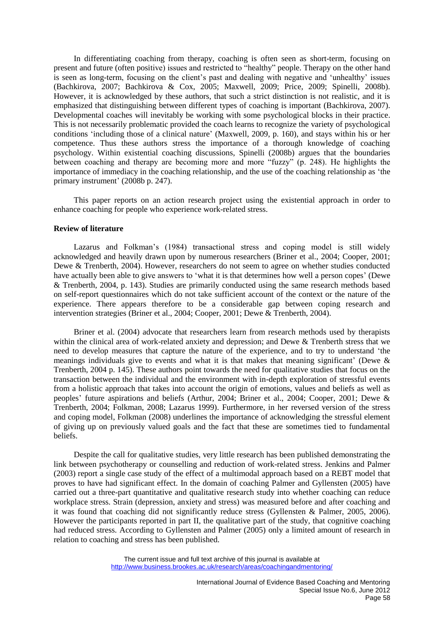In differentiating coaching from therapy, coaching is often seen as short-term, focusing on present and future (often positive) issues and restricted to "healthy" people. Therapy on the other hand is seen as long-term, focusing on the client's past and dealing with negative and 'unhealthy' issues (Bachkirova, 2007; Bachkirova & Cox, 2005; Maxwell, 2009; Price, 2009; Spinelli, 2008b). However, it is acknowledged by these authors, that such a strict distinction is not realistic, and it is emphasized that distinguishing between different types of coaching is important (Bachkirova, 2007). Developmental coaches will inevitably be working with some psychological blocks in their practice. This is not necessarily problematic provided the coach learns to recognize the variety of psychological conditions 'including those of a clinical nature' (Maxwell, 2009, p. 160), and stays within his or her competence. Thus these authors stress the importance of a thorough knowledge of coaching psychology. Within existential coaching discussions, Spinelli (2008b) argues that the boundaries between coaching and therapy are becoming more and more "fuzzy" (p. 248). He highlights the importance of immediacy in the coaching relationship, and the use of the coaching relationship as 'the primary instrument' (2008b p. 247).

This paper reports on an action research project using the existential approach in order to enhance coaching for people who experience work-related stress.

# **Review of literature**

Lazarus and Folkman's (1984) transactional stress and coping model is still widely acknowledged and heavily drawn upon by numerous researchers (Briner et al., 2004; Cooper, 2001; Dewe & Trenberth, 2004). However, researchers do not seem to agree on whether studies conducted have actually been able to give answers to 'what it is that determines how well a person copes' (Dewe & Trenberth, 2004, p. 143). Studies are primarily conducted using the same research methods based on self-report questionnaires which do not take sufficient account of the context or the nature of the experience. There appears therefore to be a considerable gap between coping research and intervention strategies (Briner et al., 2004; Cooper, 2001; Dewe & Trenberth, 2004).

Briner et al. (2004) advocate that researchers learn from research methods used by therapists within the clinical area of work-related anxiety and depression; and Dewe & Trenberth stress that we need to develop measures that capture the nature of the experience, and to try to understand 'the meanings individuals give to events and what it is that makes that meaning significant' (Dewe & Trenberth, 2004 p. 145). These authors point towards the need for qualitative studies that focus on the transaction between the individual and the environment with in-depth exploration of stressful events from a holistic approach that takes into account the origin of emotions, values and beliefs as well as peoples' future aspirations and beliefs (Arthur, 2004; Briner et al., 2004; Cooper, 2001; Dewe & Trenberth, 2004; Folkman, 2008; Lazarus 1999). Furthermore, in her reversed version of the stress and coping model, Folkman (2008) underlines the importance of acknowledging the stressful element of giving up on previously valued goals and the fact that these are sometimes tied to fundamental beliefs.

Despite the call for qualitative studies, very little research has been published demonstrating the link between psychotherapy or counselling and reduction of work-related stress. Jenkins and Palmer (2003) report a single case study of the effect of a multimodal approach based on a REBT model that proves to have had significant effect. In the domain of coaching Palmer and Gyllensten (2005) have carried out a three-part quantitative and qualitative research study into whether coaching can reduce workplace stress. Strain (depression, anxiety and stress) was measured before and after coaching and it was found that coaching did not significantly reduce stress (Gyllensten & Palmer, 2005, 2006). However the participants reported in part II, the qualitative part of the study, that cognitive coaching had reduced stress. According to Gyllensten and Palmer (2005) only a limited amount of research in relation to coaching and stress has been published.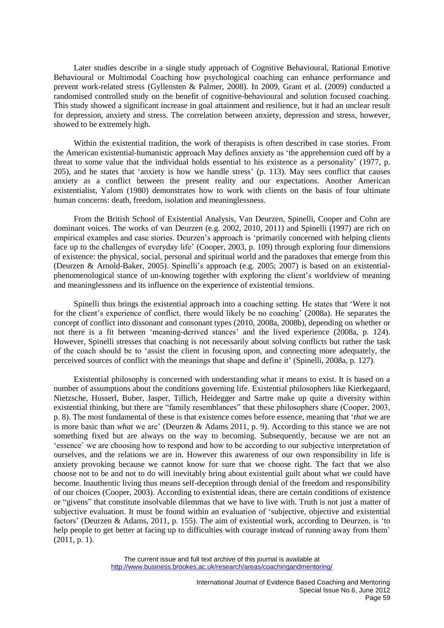Later studies describe in a single study approach of Cognitive Behavioural, Rational Emotive Behavioural or Multimodal Coaching how psychological coaching can enhance performance and prevent work-related stress (Gyllensten & Palmer, 2008). In 2009, Grant et al. (2009) conducted a randomised controlled study on the benefit of cognitive-behavioural and solution focused coaching. This study showed a significant increase in goal attainment and resilience, but it had an unclear result for depression, anxiety and stress. The correlation between anxiety, depression and stress, however, showed to be extremely high.

Within the existential tradition, the work of therapists is often described in case stories. From the American existential-humanistic approach May defines anxiety as 'the apprehension cued off by a threat to some value that the individual holds essential to his existence as a personality' (1977, p. 205), and he states that 'anxiety is how we handle stress' (p. 113). May sees conflict that causes anxiety as a conflict between the present reality and our expectations. Another American existentialist, Yalom (1980) demonstrates how to work with clients on the basis of four ultimate human concerns: death, freedom, isolation and meaninglessness.

From the British School of Existential Analysis, Van Deurzen, Spinelli, Cooper and Cohn are dominant voices. The works of van Deurzen (e.g. 2002, 2010, 2011) and Spinelli (1997) are rich on empirical examples and case stories. Deurzen's approach is 'primarily concerned with helping clients face up to the challenges of everyday life' (Cooper, 2003, p. 109) through exploring four dimensions of existence: the physical, social, personal and spiritual world and the paradoxes that emerge from this (Deurzen & Arnold-Baker, 2005). Spinelli's approach (e.g. 2005; 2007) is based on an existentialphenomenological stance of un-knowing together with exploring the client's worldview of meaning and meaninglessness and its influence on the experience of existential tensions.

Spinelli thus brings the existential approach into a coaching setting. He states that 'Were it not for the client's experience of conflict, there would likely be no coaching' (2008a). He separates the concept of conflict into dissonant and consonant types (2010, 2008a, 2008b), depending on whether or not there is a fit between 'meaning-derived stances' and the lived experience (2008a, p. 124). However, Spinelli stresses that coaching is not necessarily about solving conflicts but rather the task of the coach should be to 'assist the client in focusing upon, and connecting more adequately, the perceived sources of conflict with the meanings that shape and define it' (Spinelli, 2008a, p. 127).

Existential philosophy is concerned with understanding what it means to exist. It is based on a number of assumptions about the conditions governing life. Existential philosophers like Kierkegaard, Nietzsche, Husserl, Buber, Jasper, Tillich, Heidegger and Sartre make up quite a diversity within existential thinking, but there are "family resemblances" that these philosophers share (Cooper, 2003, p. 8). The most fundamental of these is that existence comes before essence, meaning that '*that* we are is more basic than *what* we are' (Deurzen & Adams 2011, p. 9). According to this stance we are not something fixed but are always on the way to becoming. Subsequently, because we are not an 'essence' we are choosing how to respond and how to be according to our subjective interpretation of ourselves, and the relations we are in. However this awareness of our own responsibility in life is anxiety provoking because we cannot know for sure that we choose right. The fact that we also choose not to be and not to do will inevitably bring about existential guilt about what we could have become. Inauthentic living thus means self-deception through denial of the freedom and responsibility of our choices (Cooper, 2003). According to existential ideas, there are certain conditions of existence or "givens" that constitute insolvable dilemmas that we have to live with. Truth is not just a matter of subjective evaluation. It must be found within an evaluation of 'subjective, objective and existential factors' (Deurzen & Adams, 2011, p. 155). The aim of existential work, according to Deurzen, is 'to help people to get better at facing up to difficulties with courage instead of running away from them' (2011, p. 1).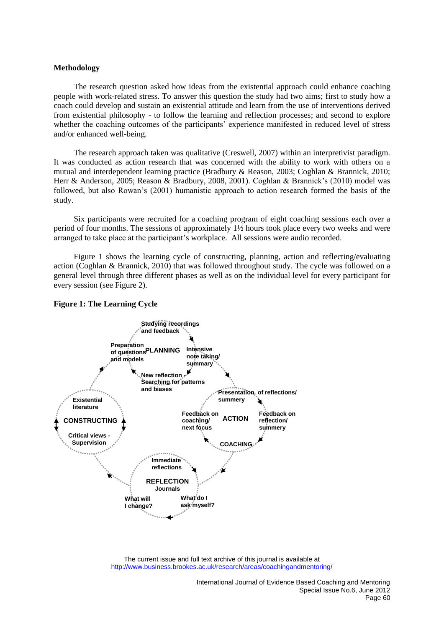## **Methodology**

The research question asked how ideas from the existential approach could enhance coaching people with work-related stress. To answer this question the study had two aims; first to study how a coach could develop and sustain an existential attitude and learn from the use of interventions derived from existential philosophy - to follow the learning and reflection processes; and second to explore whether the coaching outcomes of the participants' experience manifested in reduced level of stress and/or enhanced well-being.

The research approach taken was qualitative (Creswell, 2007) within an interpretivist paradigm. It was conducted as action research that was concerned with the ability to work with others on a mutual and interdependent learning practice (Bradbury & Reason, 2003; Coghlan & Brannick, 2010; Herr & Anderson, 2005; Reason & Bradbury, 2008, 2001). Coghlan & Brannick's (2010) model was followed, but also Rowan's (2001) humanistic approach to action research formed the basis of the study.

Six participants were recruited for a coaching program of eight coaching sessions each over a period of four months. The sessions of approximately 1½ hours took place every two weeks and were arranged to take place at the participant's workplace. All sessions were audio recorded.

Figure 1 shows the learning cycle of constructing, planning, action and reflecting/evaluating action (Coghlan & Brannick, 2010) that was followed throughout study. The cycle was followed on a general level through three different phases as well as on the individual level for every participant for every session (see Figure 2).



#### **Figure 1: The Learning Cycle**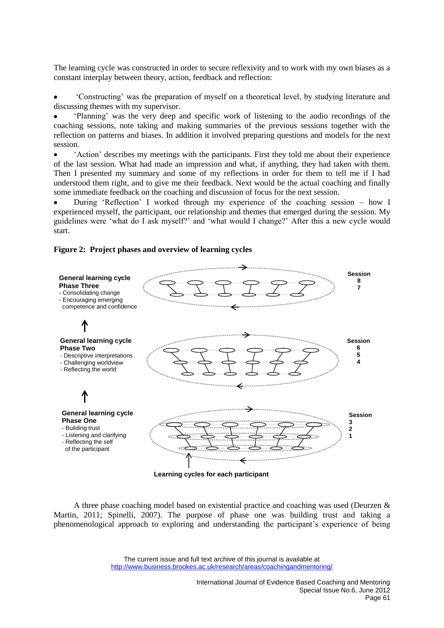The learning cycle was constructed in order to secure reflexivity and to work with my own biases as a constant interplay between theory, action, feedback and reflection:

'Constructing' was the preparation of myself on a theoretical level, by studying literature and discussing themes with my supervisor.

'Planning' was the very deep and specific work of listening to the audio recordings of the coaching sessions, note taking and making summaries of the previous sessions together with the reflection on patterns and biases. In addition it involved preparing questions and models for the next session.

'Action' describes my meetings with the participants. First they told me about their experience of the last session. What had made an impression and what, if anything, they had taken with them. Then I presented my summary and some of my reflections in order for them to tell me if I had understood them right, and to give me their feedback. Next would be the actual coaching and finally some immediate feedback on the coaching and discussion of focus for the next session.

During 'Reflection' I worked through my experience of the coaching session – how I experienced myself, the participant, our relationship and themes that emerged during the session. My guidelines were 'what do I ask myself?' and 'what would I change?' After this a new cycle would start.

# **Figure 2: Project phases and overview of learning cycles**



A three phase coaching model based on existential practice and coaching was used (Deurzen & Martin, 2011; Spinelli, 2007). The purpose of phase one was building trust and taking a phenomenological approach to exploring and understanding the participant's experience of being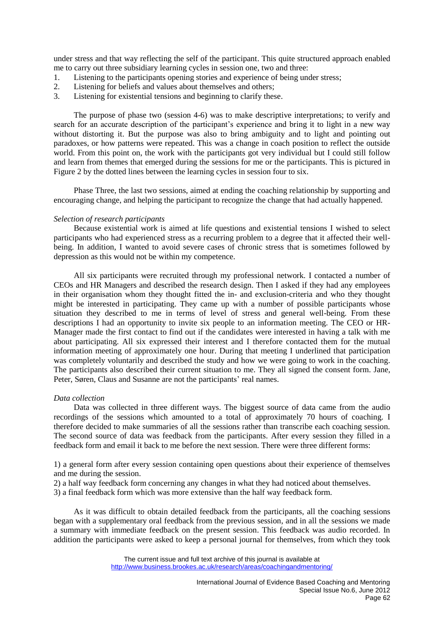under stress and that way reflecting the self of the participant. This quite structured approach enabled me to carry out three subsidiary learning cycles in session one, two and three:

- 1. Listening to the participants opening stories and experience of being under stress;
- 2. Listening for beliefs and values about themselves and others;
- 3. Listening for existential tensions and beginning to clarify these.

The purpose of phase two (session 4-6) was to make descriptive interpretations; to verify and search for an accurate description of the participant's experience and bring it to light in a new way without distorting it. But the purpose was also to bring ambiguity and to light and pointing out paradoxes, or how patterns were repeated. This was a change in coach position to reflect the outside world. From this point on, the work with the participants got very individual but I could still follow and learn from themes that emerged during the sessions for me or the participants. This is pictured in Figure 2 by the dotted lines between the learning cycles in session four to six.

Phase Three, the last two sessions, aimed at ending the coaching relationship by supporting and encouraging change, and helping the participant to recognize the change that had actually happened.

## *Selection of research participants*

Because existential work is aimed at life questions and existential tensions I wished to select participants who had experienced stress as a recurring problem to a degree that it affected their wellbeing. In addition, I wanted to avoid severe cases of chronic stress that is sometimes followed by depression as this would not be within my competence.

All six participants were recruited through my professional network. I contacted a number of CEOs and HR Managers and described the research design. Then I asked if they had any employees in their organisation whom they thought fitted the in- and exclusion-criteria and who they thought might be interested in participating. They came up with a number of possible participants whose situation they described to me in terms of level of stress and general well-being. From these descriptions I had an opportunity to invite six people to an information meeting. The CEO or HR-Manager made the first contact to find out if the candidates were interested in having a talk with me about participating. All six expressed their interest and I therefore contacted them for the mutual information meeting of approximately one hour. During that meeting I underlined that participation was completely voluntarily and described the study and how we were going to work in the coaching. The participants also described their current situation to me. They all signed the consent form. Jane, Peter, Søren, Claus and Susanne are not the participants' real names.

## *Data collection*

Data was collected in three different ways. The biggest source of data came from the audio recordings of the sessions which amounted to a total of approximately 70 hours of coaching. I therefore decided to make summaries of all the sessions rather than transcribe each coaching session. The second source of data was feedback from the participants. After every session they filled in a feedback form and email it back to me before the next session. There were three different forms:

1) a general form after every session containing open questions about their experience of themselves and me during the session.

- 2) a half way feedback form concerning any changes in what they had noticed about themselves.
- 3) a final feedback form which was more extensive than the half way feedback form.

As it was difficult to obtain detailed feedback from the participants, all the coaching sessions began with a supplementary oral feedback from the previous session, and in all the sessions we made a summary with immediate feedback on the present session. This feedback was audio recorded. In addition the participants were asked to keep a personal journal for themselves, from which they took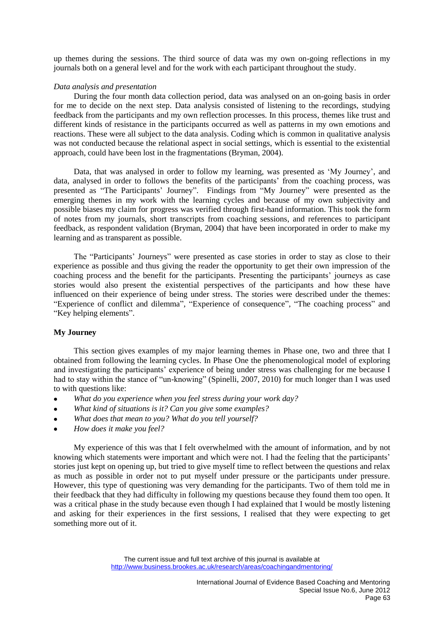up themes during the sessions. The third source of data was my own on-going reflections in my journals both on a general level and for the work with each participant throughout the study.

## *Data analysis and presentation*

During the four month data collection period, data was analysed on an on-going basis in order for me to decide on the next step. Data analysis consisted of listening to the recordings, studying feedback from the participants and my own reflection processes. In this process, themes like trust and different kinds of resistance in the participants occurred as well as patterns in my own emotions and reactions. These were all subject to the data analysis. Coding which is common in qualitative analysis was not conducted because the relational aspect in social settings, which is essential to the existential approach, could have been lost in the fragmentations (Bryman, 2004).

Data, that was analysed in order to follow my learning, was presented as 'My Journey', and data, analysed in order to follows the benefits of the participants' from the coaching process, was presented as "The Participants' Journey". Findings from "My Journey" were presented as the emerging themes in my work with the learning cycles and because of my own subjectivity and possible biases my claim for progress was verified through first-hand information. This took the form of notes from my journals, short transcripts from coaching sessions, and references to participant feedback, as respondent validation (Bryman, 2004) that have been incorporated in order to make my learning and as transparent as possible.

The "Participants' Journeys" were presented as case stories in order to stay as close to their experience as possible and thus giving the reader the opportunity to get their own impression of the coaching process and the benefit for the participants. Presenting the participants' journeys as case stories would also present the existential perspectives of the participants and how these have influenced on their experience of being under stress. The stories were described under the themes: "Experience of conflict and dilemma", "Experience of consequence", "The coaching process" and "Key helping elements".

# **My Journey**

This section gives examples of my major learning themes in Phase one, two and three that I obtained from following the learning cycles. In Phase One the phenomenological model of exploring and investigating the participants' experience of being under stress was challenging for me because I had to stay within the stance of "un-knowing" (Spinelli, 2007, 2010) for much longer than I was used to with questions like:

- *What do you experience when you feel stress during your work day?*  $\bullet$
- *What kind of situations is it? Can you give some examples?*
- *What does that mean to you? What do you tell yourself?*
- *How does it make you feel?*

My experience of this was that I felt overwhelmed with the amount of information, and by not knowing which statements were important and which were not. I had the feeling that the participants' stories just kept on opening up, but tried to give myself time to reflect between the questions and relax as much as possible in order not to put myself under pressure or the participants under pressure. However, this type of questioning was very demanding for the participants. Two of them told me in their feedback that they had difficulty in following my questions because they found them too open. It was a critical phase in the study because even though I had explained that I would be mostly listening and asking for their experiences in the first sessions, I realised that they were expecting to get something more out of it.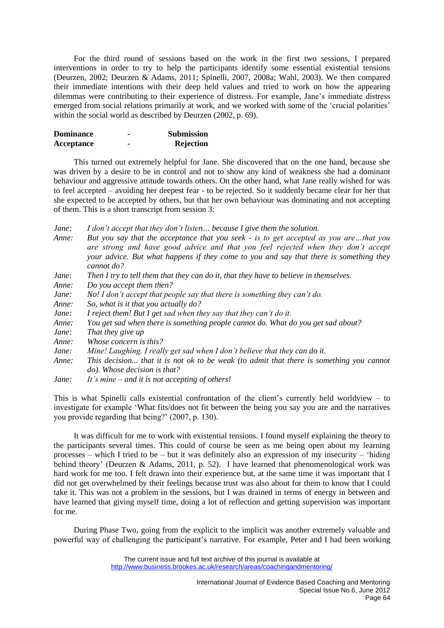For the third round of sessions based on the work in the first two sessions, I prepared interventions in order to try to help the participants identify some essential existential tensions (Deurzen, 2002; Deurzen & Adams, 2011; Spinelli, 2007, 2008a; Wahl, 2003). We then compared their immediate intentions with their deep held values and tried to work on how the appearing dilemmas were contributing to their experience of distress. For example, Jane's immediate distress emerged from social relations primarily at work, and we worked with some of the 'crucial polarities' within the social world as described by Deurzen (2002, p. 69).

| <b>Dominance</b> | - | <b>Submission</b> |
|------------------|---|-------------------|
| Acceptance       |   | Rejection         |

This turned out extremely helpful for Jane. She discovered that on the one hand, because she was driven by a desire to be in control and not to show any kind of weakness she had a dominant behaviour and aggressive attitude towards others. On the other hand, what Jane really wished for was to feel accepted – avoiding her deepest fear - to be rejected. So it suddenly became clear for her that she expected to be accepted by others, but that her own behaviour was dominating and not accepting of them. This is a short transcript from session 3:

*Jane: I don't accept that they don't listen… because I give them the solution.*

- *Anne: But you say that the acceptance that you seek - is to get accepted as you are…that you are strong and have good advice and that you feel rejected when they don't accept your advice. But what happens if they come to you and say that there is something they cannot do?*
- *Jane: Then I try to tell them that they can do it, that they have to believe in themselves.*
- *Anne: Do you accept them then?*
- *Jane: No! I don't accept that people say that there is something they can't do.*
- *Anne: So, what is it that you actually do?*
- *Jane: I reject them! But I get sad when they say that they can't do it.*
- *Anne: You get sad when there is something people cannot do. What do you get sad about?*
- *Jane: That they give up*
- *Anne: Whose concern is this?*
- *Jane: Mine! Laughing. I really get sad when I don't believe that they can do it.*
- *Anne: This decision... that it is not ok to be weak (to admit that there is something you cannot do). Whose decision is that?*
- *Jane: It's mine – and it is not accepting of others!*

This is what Spinelli calls existential confrontation of the client's currently held worldview – to investigate for example 'What fits/does not fit between the being you say you are and the narratives you provide regarding that being?' (2007, p. 130).

It was difficult for me to work with existential tensions. I found myself explaining the theory to the participants several times. This could of course be seen as me being open about my learning processes – which I tried to be – but it was definitely also an expression of my insecurity – 'hiding behind theory' (Deurzen & Adams, 2011, p. 52). I have learned that phenomenological work was hard work for me too. I felt drawn into their experience but, at the same time it was important that I did not get overwhelmed by their feelings because trust was also about for them to know that I could take it. This was not a problem in the sessions, but I was drained in terms of energy in between and have learned that giving myself time, doing a lot of reflection and getting supervision was important for me.

During Phase Two, going from the explicit to the implicit was another extremely valuable and powerful way of challenging the participant's narrative. For example, Peter and I had been working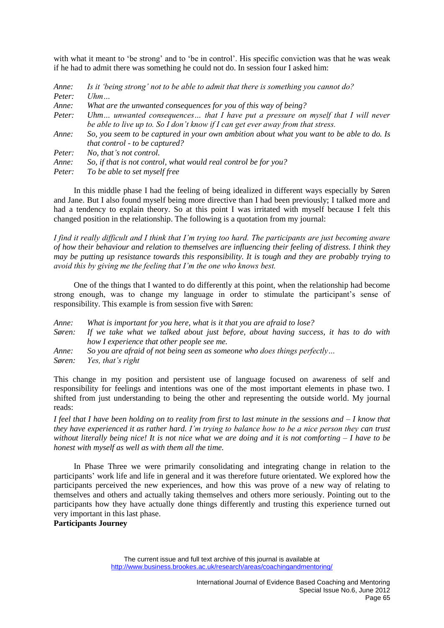with what it meant to 'be strong' and to 'be in control'. His specific conviction was that he was weak if he had to admit there was something he could not do. In session four I asked him:

| Anne:  | Is it 'being strong' not to be able to admit that there is something you cannot do?                                                                                 |
|--------|---------------------------------------------------------------------------------------------------------------------------------------------------------------------|
| Peter: | Uhm                                                                                                                                                                 |
| Anne:  | What are the unwanted consequences for you of this way of being?                                                                                                    |
| Peter: | Uhm unwanted consequences that I have put a pressure on myself that I will never<br>be able to live up to. So I don't know if I can get ever away from that stress. |
| Anne:  | So, you seem to be captured in your own ambition about what you want to be able to do. Is<br>that control - to be captured?                                         |
| Peter: | No, that's not control.                                                                                                                                             |
| Anne:  | So, if that is not control, what would real control be for you?                                                                                                     |
| Peter: | To be able to set myself free                                                                                                                                       |

In this middle phase I had the feeling of being idealized in different ways especially by Søren and Jane. But I also found myself being more directive than I had been previously; I talked more and had a tendency to explain theory. So at this point I was irritated with myself because I felt this changed position in the relationship. The following is a quotation from my journal:

*I find it really difficult and I think that I'm trying too hard. The participants are just becoming aware of how their behaviour and relation to themselves are influencing their feeling of distress. I think they may be putting up resistance towards this responsibility. It is tough and they are probably trying to avoid this by giving me the feeling that I'm the one who knows best.*

One of the things that I wanted to do differently at this point, when the relationship had become strong enough, was to change my language in order to stimulate the participant's sense of responsibility. This example is from session five with Søren:

- *Anne: What is important for you here, what is it that you are afraid to lose?*
- *Søren: If we take what we talked about just before, about having success, it has to do with how I experience that other people see me.*
- *Anne: So you are afraid of not being seen as someone who does things perfectly…*
- *Søren: Yes, that's right*

This change in my position and persistent use of language focused on awareness of self and responsibility for feelings and intentions was one of the most important elements in phase two. I shifted from just understanding to being the other and representing the outside world. My journal reads:

*I feel that I have been holding on to reality from first to last minute in the sessions and – I know that they have experienced it as rather hard. I'm trying to balance how to be a nice person they can trust without literally being nice! It is not nice what we are doing and it is not comforting – I have to be honest with myself as well as with them all the time.* 

In Phase Three we were primarily consolidating and integrating change in relation to the participants' work life and life in general and it was therefore future orientated. We explored how the participants perceived the new experiences, and how this was prove of a new way of relating to themselves and others and actually taking themselves and others more seriously. Pointing out to the participants how they have actually done things differently and trusting this experience turned out very important in this last phase.

**Participants Journey** 

The current issue and full text archive of this journal is available at http://www.business.brookes.ac.uk/research/areas/coachingandmentoring/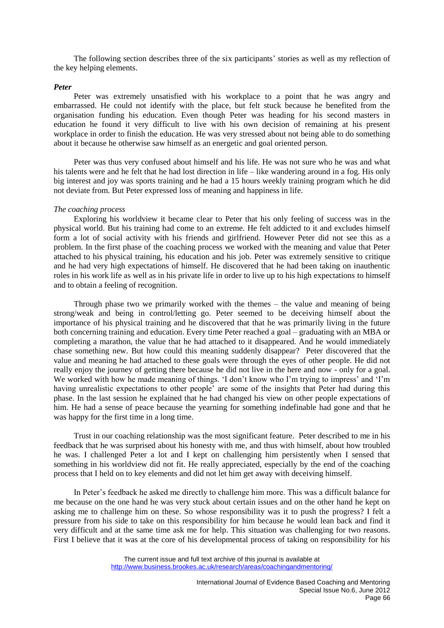The following section describes three of the six participants' stories as well as my reflection of the key helping elements.

#### *Peter*

Peter was extremely unsatisfied with his workplace to a point that he was angry and embarrassed. He could not identify with the place, but felt stuck because he benefited from the organisation funding his education. Even though Peter was heading for his second masters in education he found it very difficult to live with his own decision of remaining at his present workplace in order to finish the education. He was very stressed about not being able to do something about it because he otherwise saw himself as an energetic and goal oriented person.

Peter was thus very confused about himself and his life. He was not sure who he was and what his talents were and he felt that he had lost direction in life – like wandering around in a fog. His only big interest and joy was sports training and he had a 15 hours weekly training program which he did not deviate from. But Peter expressed loss of meaning and happiness in life.

#### *The coaching process*

Exploring his worldview it became clear to Peter that his only feeling of success was in the physical world. But his training had come to an extreme. He felt addicted to it and excludes himself form a lot of social activity with his friends and girlfriend. However Peter did not see this as a problem. In the first phase of the coaching process we worked with the meaning and value that Peter attached to his physical training, his education and his job. Peter was extremely sensitive to critique and he had very high expectations of himself. He discovered that he had been taking on inauthentic roles in his work life as well as in his private life in order to live up to his high expectations to himself and to obtain a feeling of recognition.

Through phase two we primarily worked with the themes – the value and meaning of being strong/weak and being in control/letting go. Peter seemed to be deceiving himself about the importance of his physical training and he discovered that that he was primarily living in the future both concerning training and education. Every time Peter reached a goal – graduating with an MBA or completing a marathon, the value that he had attached to it disappeared. And he would immediately chase something new. But how could this meaning suddenly disappear? Peter discovered that the value and meaning he had attached to these goals were through the eyes of other people. He did not really enjoy the journey of getting there because he did not live in the here and now - only for a goal. We worked with how he made meaning of things. 'I don't know who I'm trying to impress' and 'I'm having unrealistic expectations to other people' are some of the insights that Peter had during this phase. In the last session he explained that he had changed his view on other people expectations of him. He had a sense of peace because the yearning for something indefinable had gone and that he was happy for the first time in a long time.

Trust in our coaching relationship was the most significant feature. Peter described to me in his feedback that he was surprised about his honesty with me, and thus with himself, about how troubled he was. I challenged Peter a lot and I kept on challenging him persistently when I sensed that something in his worldview did not fit. He really appreciated, especially by the end of the coaching process that I held on to key elements and did not let him get away with deceiving himself.

In Peter's feedback he asked me directly to challenge him more. This was a difficult balance for me because on the one hand he was very stuck about certain issues and on the other hand he kept on asking me to challenge him on these. So whose responsibility was it to push the progress? I felt a pressure from his side to take on this responsibility for him because he would lean back and find it very difficult and at the same time ask me for help. This situation was challenging for two reasons. First I believe that it was at the core of his developmental process of taking on responsibility for his

The current issue and full text archive of this journal is available at http://www.business.brookes.ac.uk/research/areas/coachingandmentoring/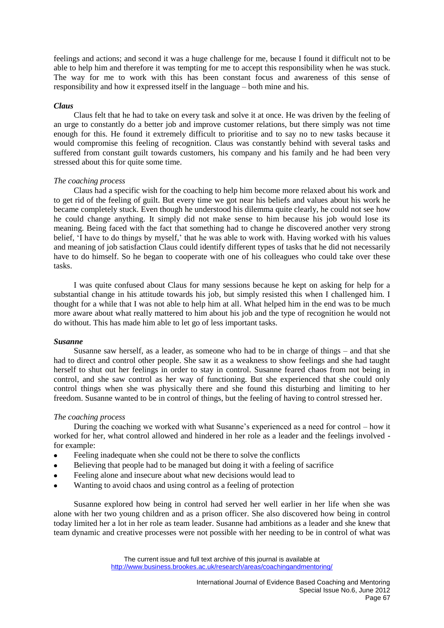feelings and actions; and second it was a huge challenge for me, because I found it difficult not to be able to help him and therefore it was tempting for me to accept this responsibility when he was stuck. The way for me to work with this has been constant focus and awareness of this sense of responsibility and how it expressed itself in the language – both mine and his.

# *Claus*

Claus felt that he had to take on every task and solve it at once. He was driven by the feeling of an urge to constantly do a better job and improve customer relations, but there simply was not time enough for this. He found it extremely difficult to prioritise and to say no to new tasks because it would compromise this feeling of recognition. Claus was constantly behind with several tasks and suffered from constant guilt towards customers, his company and his family and he had been very stressed about this for quite some time.

# *The coaching process*

Claus had a specific wish for the coaching to help him become more relaxed about his work and to get rid of the feeling of guilt. But every time we got near his beliefs and values about his work he became completely stuck. Even though he understood his dilemma quite clearly, he could not see how he could change anything. It simply did not make sense to him because his job would lose its meaning. Being faced with the fact that something had to change he discovered another very strong belief, 'I have to do things by myself,' that he was able to work with. Having worked with his values and meaning of job satisfaction Claus could identify different types of tasks that he did not necessarily have to do himself. So he began to cooperate with one of his colleagues who could take over these tasks.

I was quite confused about Claus for many sessions because he kept on asking for help for a substantial change in his attitude towards his job, but simply resisted this when I challenged him. I thought for a while that I was not able to help him at all. What helped him in the end was to be much more aware about what really mattered to him about his job and the type of recognition he would not do without. This has made him able to let go of less important tasks.

## *Susanne*

Susanne saw herself, as a leader, as someone who had to be in charge of things – and that she had to direct and control other people. She saw it as a weakness to show feelings and she had taught herself to shut out her feelings in order to stay in control. Susanne feared chaos from not being in control, and she saw control as her way of functioning. But she experienced that she could only control things when she was physically there and she found this disturbing and limiting to her freedom. Susanne wanted to be in control of things, but the feeling of having to control stressed her.

# *The coaching process*

During the coaching we worked with what Susanne's experienced as a need for control – how it worked for her, what control allowed and hindered in her role as a leader and the feelings involved for example:

- Feeling inadequate when she could not be there to solve the conflicts
- Believing that people had to be managed but doing it with a feeling of sacrifice
- Feeling alone and insecure about what new decisions would lead to
- Wanting to avoid chaos and using control as a feeling of protection

Susanne explored how being in control had served her well earlier in her life when she was alone with her two young children and as a prison officer. She also discovered how being in control today limited her a lot in her role as team leader. Susanne had ambitions as a leader and she knew that team dynamic and creative processes were not possible with her needing to be in control of what was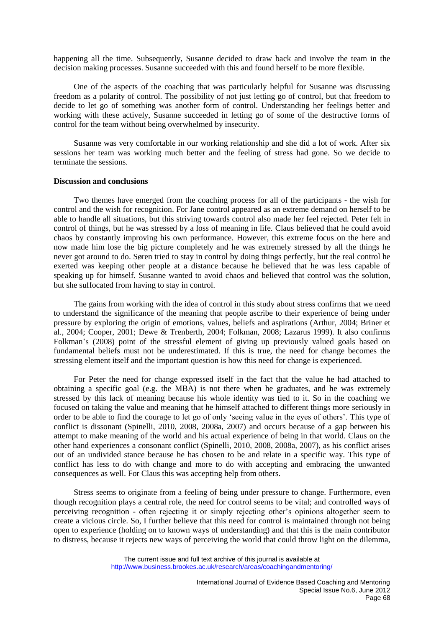happening all the time. Subsequently, Susanne decided to draw back and involve the team in the decision making processes. Susanne succeeded with this and found herself to be more flexible.

One of the aspects of the coaching that was particularly helpful for Susanne was discussing freedom as a polarity of control. The possibility of not just letting go of control, but that freedom to decide to let go of something was another form of control. Understanding her feelings better and working with these actively, Susanne succeeded in letting go of some of the destructive forms of control for the team without being overwhelmed by insecurity.

Susanne was very comfortable in our working relationship and she did a lot of work. After six sessions her team was working much better and the feeling of stress had gone. So we decide to terminate the sessions.

#### **Discussion and conclusions**

Two themes have emerged from the coaching process for all of the participants - the wish for control and the wish for recognition. For Jane control appeared as an extreme demand on herself to be able to handle all situations, but this striving towards control also made her feel rejected. Peter felt in control of things, but he was stressed by a loss of meaning in life. Claus believed that he could avoid chaos by constantly improving his own performance. However, this extreme focus on the here and now made him lose the big picture completely and he was extremely stressed by all the things he never got around to do. Søren tried to stay in control by doing things perfectly, but the real control he exerted was keeping other people at a distance because he believed that he was less capable of speaking up for himself. Susanne wanted to avoid chaos and believed that control was the solution, but she suffocated from having to stay in control.

The gains from working with the idea of control in this study about stress confirms that we need to understand the significance of the meaning that people ascribe to their experience of being under pressure by exploring the origin of emotions, values, beliefs and aspirations (Arthur, 2004; Briner et al., 2004; Cooper, 2001; Dewe & Trenberth, 2004; Folkman, 2008; Lazarus 1999). It also confirms Folkman's (2008) point of the stressful element of giving up previously valued goals based on fundamental beliefs must not be underestimated. If this is true, the need for change becomes the stressing element itself and the important question is how this need for change is experienced.

For Peter the need for change expressed itself in the fact that the value he had attached to obtaining a specific goal (e.g. the MBA) is not there when he graduates, and he was extremely stressed by this lack of meaning because his whole identity was tied to it. So in the coaching we focused on taking the value and meaning that he himself attached to different things more seriously in order to be able to find the courage to let go of only 'seeing value in the eyes of others'. This type of conflict is dissonant (Spinelli, 2010, 2008, 2008a, 2007) and occurs because of a gap between his attempt to make meaning of the world and his actual experience of being in that world. Claus on the other hand experiences a consonant conflict (Spinelli, 2010, 2008, 2008a, 2007), as his conflict arises out of an undivided stance because he has chosen to be and relate in a specific way. This type of conflict has less to do with change and more to do with accepting and embracing the unwanted consequences as well. For Claus this was accepting help from others.

Stress seems to originate from a feeling of being under pressure to change. Furthermore, even though recognition plays a central role, the need for control seems to be vital; and controlled ways of perceiving recognition - often rejecting it or simply rejecting other's opinions altogether seem to create a vicious circle. So, I further believe that this need for control is maintained through not being open to experience (holding on to known ways of understanding) and that this is the main contributor to distress, because it rejects new ways of perceiving the world that could throw light on the dilemma,

The current issue and full text archive of this journal is available at http://www.business.brookes.ac.uk/research/areas/coachingandmentoring/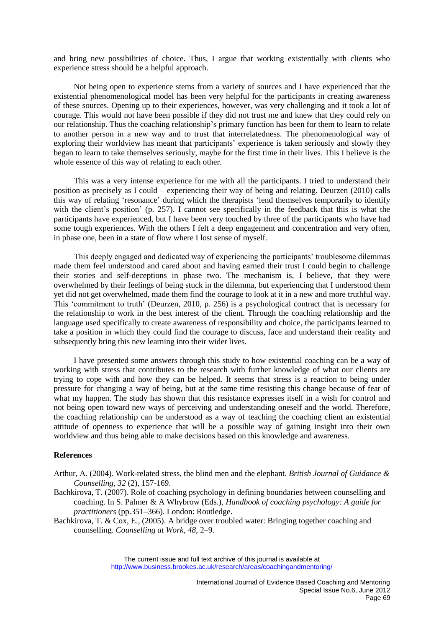and bring new possibilities of choice. Thus, I argue that working existentially with clients who experience stress should be a helpful approach.

Not being open to experience stems from a variety of sources and I have experienced that the existential phenomenological model has been very helpful for the participants in creating awareness of these sources. Opening up to their experiences, however, was very challenging and it took a lot of courage. This would not have been possible if they did not trust me and knew that they could rely on our relationship. Thus the coaching relationship's primary function has been for them to learn to relate to another person in a new way and to trust that interrelatedness. The phenomenological way of exploring their worldview has meant that participants' experience is taken seriously and slowly they began to learn to take themselves seriously, maybe for the first time in their lives. This I believe is the whole essence of this way of relating to each other.

This was a very intense experience for me with all the participants. I tried to understand their position as precisely as I could – experiencing their way of being and relating. Deurzen (2010) calls this way of relating 'resonance' during which the therapists 'lend themselves temporarily to identify with the client's position' (p. 257). I cannot see specifically in the feedback that this is what the participants have experienced, but I have been very touched by three of the participants who have had some tough experiences. With the others I felt a deep engagement and concentration and very often, in phase one, been in a state of flow where I lost sense of myself.

This deeply engaged and dedicated way of experiencing the participants' troublesome dilemmas made them feel understood and cared about and having earned their trust I could begin to challenge their stories and self-deceptions in phase two. The mechanism is, I believe, that they were overwhelmed by their feelings of being stuck in the dilemma, but experiencing that I understood them yet did not get overwhelmed, made them find the courage to look at it in a new and more truthful way. This 'commitment to truth' (Deurzen, 2010, p. 256) is a psychological contract that is necessary for the relationship to work in the best interest of the client. Through the coaching relationship and the language used specifically to create awareness of responsibility and choice, the participants learned to take a position in which they could find the courage to discuss, face and understand their reality and subsequently bring this new learning into their wider lives.

I have presented some answers through this study to how existential coaching can be a way of working with stress that contributes to the research with further knowledge of what our clients are trying to cope with and how they can be helped. It seems that stress is a reaction to being under pressure for changing a way of being, but at the same time resisting this change because of fear of what my happen. The study has shown that this resistance expresses itself in a wish for control and not being open toward new ways of perceiving and understanding oneself and the world. Therefore, the coaching relationship can be understood as a way of teaching the coaching client an existential attitude of openness to experience that will be a possible way of gaining insight into their own worldview and thus being able to make decisions based on this knowledge and awareness.

## **References**

- Arthur, A. (2004). Work-related stress, the blind men and the elephant. *British Journal of Guidance & Counselling*, *32* (2), 157-169.
- Bachkirova, T. (2007). Role of coaching psychology in defining boundaries between counselling and coaching. In S. Palmer & A Whybrow (Eds.), *Handbook of coaching psychology: A guide for practitioners* (pp.351–366). London: Routledge.
- Bachkirova, T. & Cox, E., (2005). A bridge over troubled water: Bringing together coaching and counselling. *Counselling at Work*, *48*, 2–9.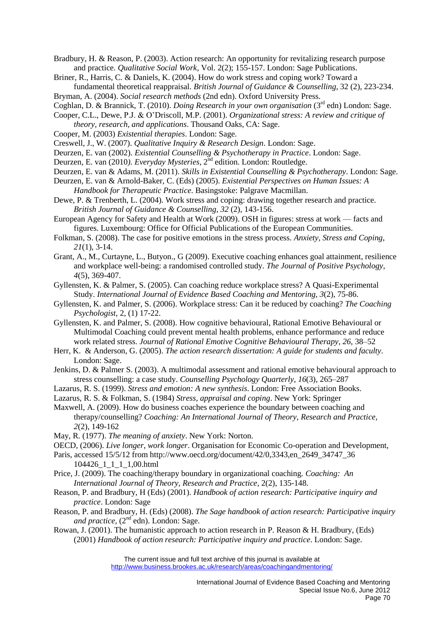Bradbury, H. & Reason, P. (2003). Action research: An opportunity for revitalizing research purpose and practice. *Qualitative Social Work*, Vol. 2(2); 155-157. London: Sage Publications.

Briner, R., Harris, C. & Daniels, K. (2004). How do work stress and coping work? Toward a fundamental theoretical reappraisal. *British Journal of Guidance & Counselling*, 32 (2), 223-234.

Bryman, A. (2004). *Social research methods* (2nd edn). Oxford University Press. Coghlan, D. & Brannick, T. (2010). *Doing Research in your own organisation* (3rd edn) London: Sage.

- Cooper, C.L., Dewe, P.J. & O'Driscoll, M.P. (2001). *Organizational stress: A review and critique of theory, research, and applications*. Thousand Oaks, CA: Sage.
- Cooper, M. (2003) *Existential therapies*. London: Sage.

Creswell, J., W. (2007). *Qualitative Inquiry & Research Design*. London: Sage.

- Deurzen, E. van (2002). *Existential Counselling & Psychotherapy in Practice*. London: Sage.
- Deurzen, E. van (2010). *Everyday Mysteries*, 2<sup>nd</sup> edition. London: Routledge.

Deurzen, E. van & Adams, M. (2011). *Skills in Existential Counselling & Psychotherapy*. London: Sage.

- Deurzen, E. van & Arnold-Baker, C. (Eds) (2005). *Existential Perspectives on Human Issues: A Handbook for Therapeutic Practice*. Basingstoke: Palgrave Macmillan.
- Dewe, P. & Trenberth, L. (2004). Work stress and coping: drawing together research and practice. *British Journal of Guidance & Counselling*, *32* (2), 143-156.
- European Agency for Safety and Health at Work (2009). OSH in figures: stress at work facts and figures. Luxembourg: Office for Official Publications of the European Communities.
- Folkman, S. (2008). The case for positive emotions in the stress process. *Anxiety, Stress and Coping*, *21*(1), 3-14.
- Grant, A., M., Curtayne, L., Butyon., G (2009). Executive coaching enhances goal attainment, resilience and workplace well-being: a randomised controlled study. *The Journal of Positive Psychology*, *4*(5), 369-407.

Gyllensten, K. & Palmer, S. (2005). Can coaching reduce workplace stress? A Quasi-Experimental Study. *International Journal of Evidence Based Coaching and Mentoring*, *3*(2), 75-86.

- Gyllensten, K. and Palmer, S. (2006). Workplace stress: Can it be reduced by coaching? *The Coaching Psychologist,* 2, (1) 17-22.
- Gyllensten, K. and Palmer, S. (2008). How cognitive behavioural, Rational Emotive Behavioural or Multimodal Coaching could prevent mental health problems, enhance performance and reduce work related stress. *Journal of Rational Emotive Cognitive Behavioural Therapy*, *26*, 38–52
- Herr, K. & Anderson, G. (2005). *The action research dissertation: A guide for students and faculty*. London: Sage.
- Jenkins, D. & Palmer S. (2003). A multimodal assessment and rational emotive behavioural approach to stress counselling: a case study. *Counselling Psychology Quarterly*, *16*(3), 265–287

Lazarus, R. S. (1999). *Stress and emotion: A new synthesis*. London: Free Association Books.

- Lazarus, R. S. & Folkman, S. (1984) *Stress, appraisal and coping*. New York: Springer
- Maxwell, A. (2009). How do business coaches experience the boundary between coaching and therapy/counselling? *Coaching: An International Journal of Theory, Research and Practice, 2*(2), 149-162

May, R. (1977). *The meaning of anxiety*. New York: Norton.

- OECD, (2006). *Live longer, work longer*. Organisation for Economic Co-operation and Development,
- Paris, accessed 15/5/12 from http://www.oecd.org/document/42/0,3343,en\_2649\_34747\_36 104426\_1\_1\_1\_1,00.html
- Price, J. (2009). The coaching/therapy boundary in organizational coaching. *Coaching: An International Journal of Theory, Research and Practice*, 2(2), 135-148.
- Reason, P. and Bradbury, H (Eds) (2001). *Handbook of action research: Participative inquiry and practice*. London: Sage
- Reason, P. and Bradbury, H. (Eds) (2008). *The Sage handbook of action research: Participative inquiry and practice*, (2<sup>nd</sup> edn). London: Sage.
- Rowan, J. (2001). The humanistic approach to action research in P. Reason & H. Bradbury, (Eds) (2001) *Handbook of action research: Participative inquiry and practice*. London: Sage.